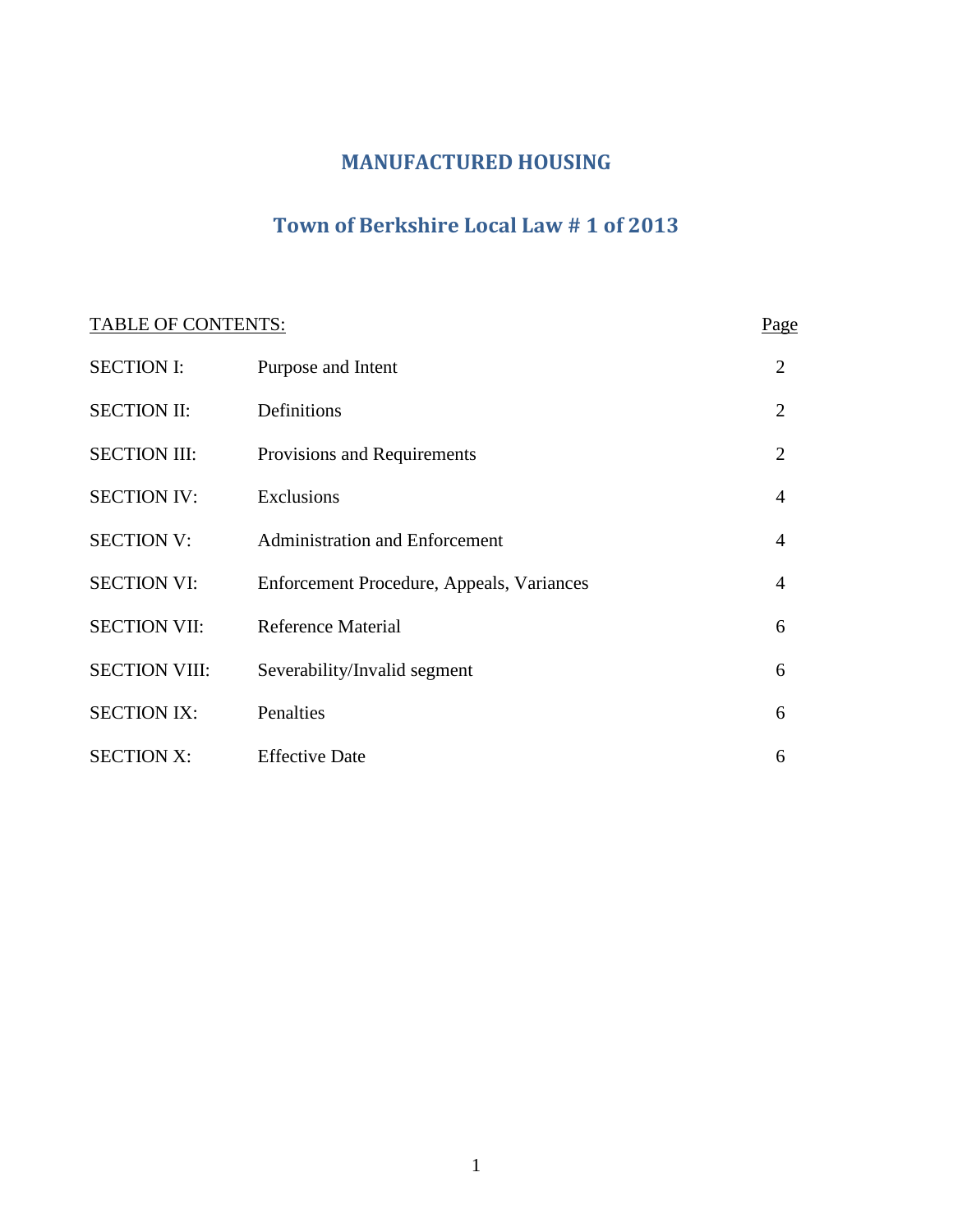### **MANUFACTURED HOUSING**

## **Town of Berkshire Local Law # 1 of 2013**

# TABLE OF CONTENTS: Page SECTION I: Purpose and Intent 2 SECTION II: Definitions 2 SECTION III: Provisions and Requirements 2 SECTION IV: Exclusions 4 SECTION V: Administration and Enforcement 4 SECTION VI: Enforcement Procedure, Appeals, Variances 4 SECTION VII: Reference Material 6 SECTION VIII: Severability/Invalid segment 6 SECTION IX: Penalties 6 SECTION X: Effective Date 6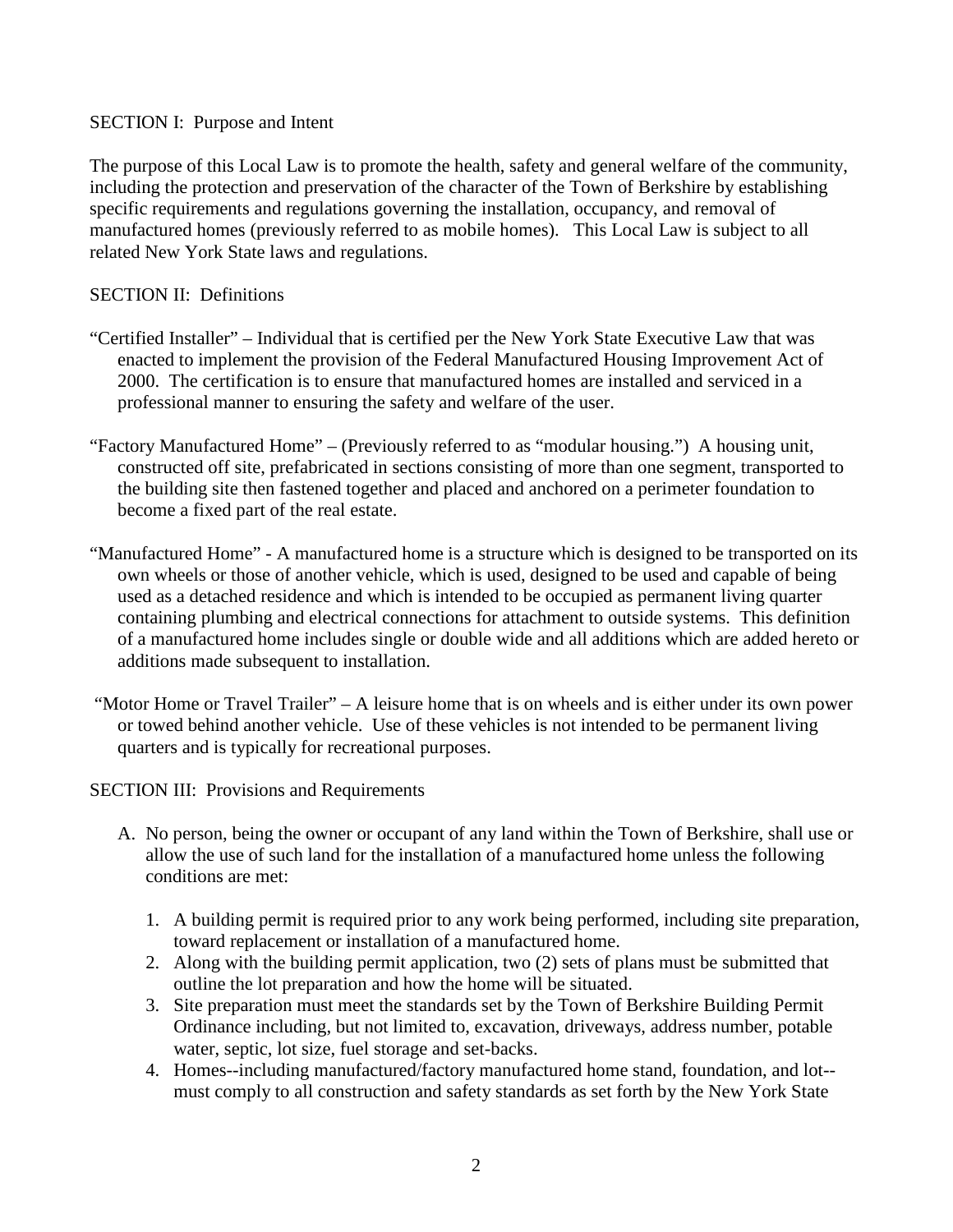#### SECTION I: Purpose and Intent

The purpose of this Local Law is to promote the health, safety and general welfare of the community, including the protection and preservation of the character of the Town of Berkshire by establishing specific requirements and regulations governing the installation, occupancy, and removal of manufactured homes (previously referred to as mobile homes). This Local Law is subject to all related New York State laws and regulations.

#### SECTION II: Definitions

- "Certified Installer" Individual that is certified per the New York State Executive Law that was enacted to implement the provision of the Federal Manufactured Housing Improvement Act of 2000. The certification is to ensure that manufactured homes are installed and serviced in a professional manner to ensuring the safety and welfare of the user.
- "Factory Manufactured Home" (Previously referred to as "modular housing.") A housing unit, constructed off site, prefabricated in sections consisting of more than one segment, transported to the building site then fastened together and placed and anchored on a perimeter foundation to become a fixed part of the real estate.
- "Manufactured Home" A manufactured home is a structure which is designed to be transported on its own wheels or those of another vehicle, which is used, designed to be used and capable of being used as a detached residence and which is intended to be occupied as permanent living quarter containing plumbing and electrical connections for attachment to outside systems. This definition of a manufactured home includes single or double wide and all additions which are added hereto or additions made subsequent to installation.
- "Motor Home or Travel Trailer" A leisure home that is on wheels and is either under its own power or towed behind another vehicle. Use of these vehicles is not intended to be permanent living quarters and is typically for recreational purposes.

SECTION III: Provisions and Requirements

- A. No person, being the owner or occupant of any land within the Town of Berkshire, shall use or allow the use of such land for the installation of a manufactured home unless the following conditions are met:
	- 1. A building permit is required prior to any work being performed, including site preparation, toward replacement or installation of a manufactured home.
	- 2. Along with the building permit application, two (2) sets of plans must be submitted that outline the lot preparation and how the home will be situated.
	- 3. Site preparation must meet the standards set by the Town of Berkshire Building Permit Ordinance including, but not limited to, excavation, driveways, address number, potable water, septic, lot size, fuel storage and set-backs.
	- 4. Homes--including manufactured/factory manufactured home stand, foundation, and lot- must comply to all construction and safety standards as set forth by the New York State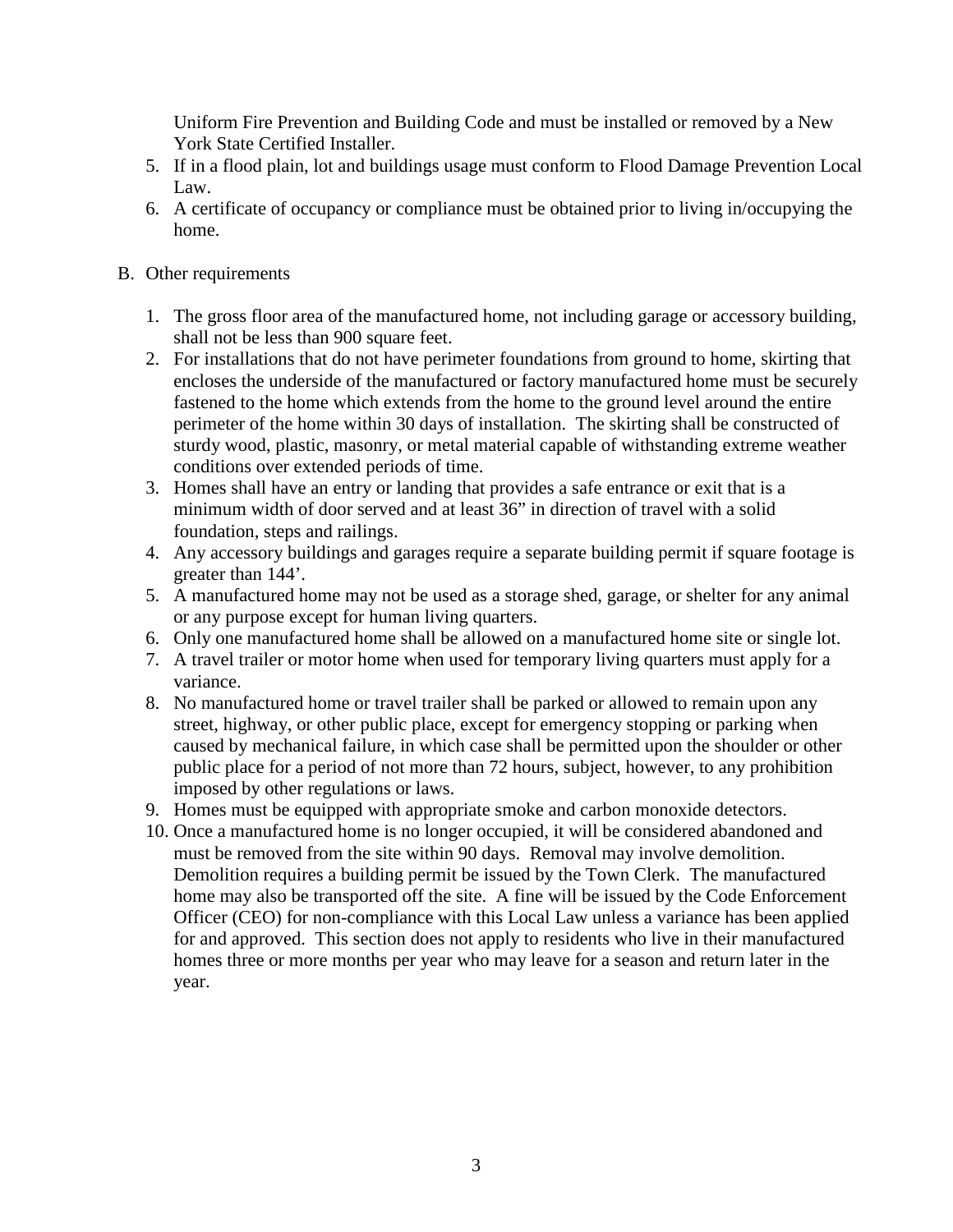Uniform Fire Prevention and Building Code and must be installed or removed by a New York State Certified Installer.

- 5. If in a flood plain, lot and buildings usage must conform to Flood Damage Prevention Local Law.
- 6. A certificate of occupancy or compliance must be obtained prior to living in/occupying the home.
- B. Other requirements
	- 1. The gross floor area of the manufactured home, not including garage or accessory building, shall not be less than 900 square feet.
	- 2. For installations that do not have perimeter foundations from ground to home, skirting that encloses the underside of the manufactured or factory manufactured home must be securely fastened to the home which extends from the home to the ground level around the entire perimeter of the home within 30 days of installation. The skirting shall be constructed of sturdy wood, plastic, masonry, or metal material capable of withstanding extreme weather conditions over extended periods of time.
	- 3. Homes shall have an entry or landing that provides a safe entrance or exit that is a minimum width of door served and at least 36" in direction of travel with a solid foundation, steps and railings.
	- 4. Any accessory buildings and garages require a separate building permit if square footage is greater than 144'.
	- 5. A manufactured home may not be used as a storage shed, garage, or shelter for any animal or any purpose except for human living quarters.
	- 6. Only one manufactured home shall be allowed on a manufactured home site or single lot.
	- 7. A travel trailer or motor home when used for temporary living quarters must apply for a variance.
	- 8. No manufactured home or travel trailer shall be parked or allowed to remain upon any street, highway, or other public place, except for emergency stopping or parking when caused by mechanical failure, in which case shall be permitted upon the shoulder or other public place for a period of not more than 72 hours, subject, however, to any prohibition imposed by other regulations or laws.
	- 9. Homes must be equipped with appropriate smoke and carbon monoxide detectors.
	- 10. Once a manufactured home is no longer occupied, it will be considered abandoned and must be removed from the site within 90 days. Removal may involve demolition. Demolition requires a building permit be issued by the Town Clerk. The manufactured home may also be transported off the site. A fine will be issued by the Code Enforcement Officer (CEO) for non-compliance with this Local Law unless a variance has been applied for and approved. This section does not apply to residents who live in their manufactured homes three or more months per year who may leave for a season and return later in the year.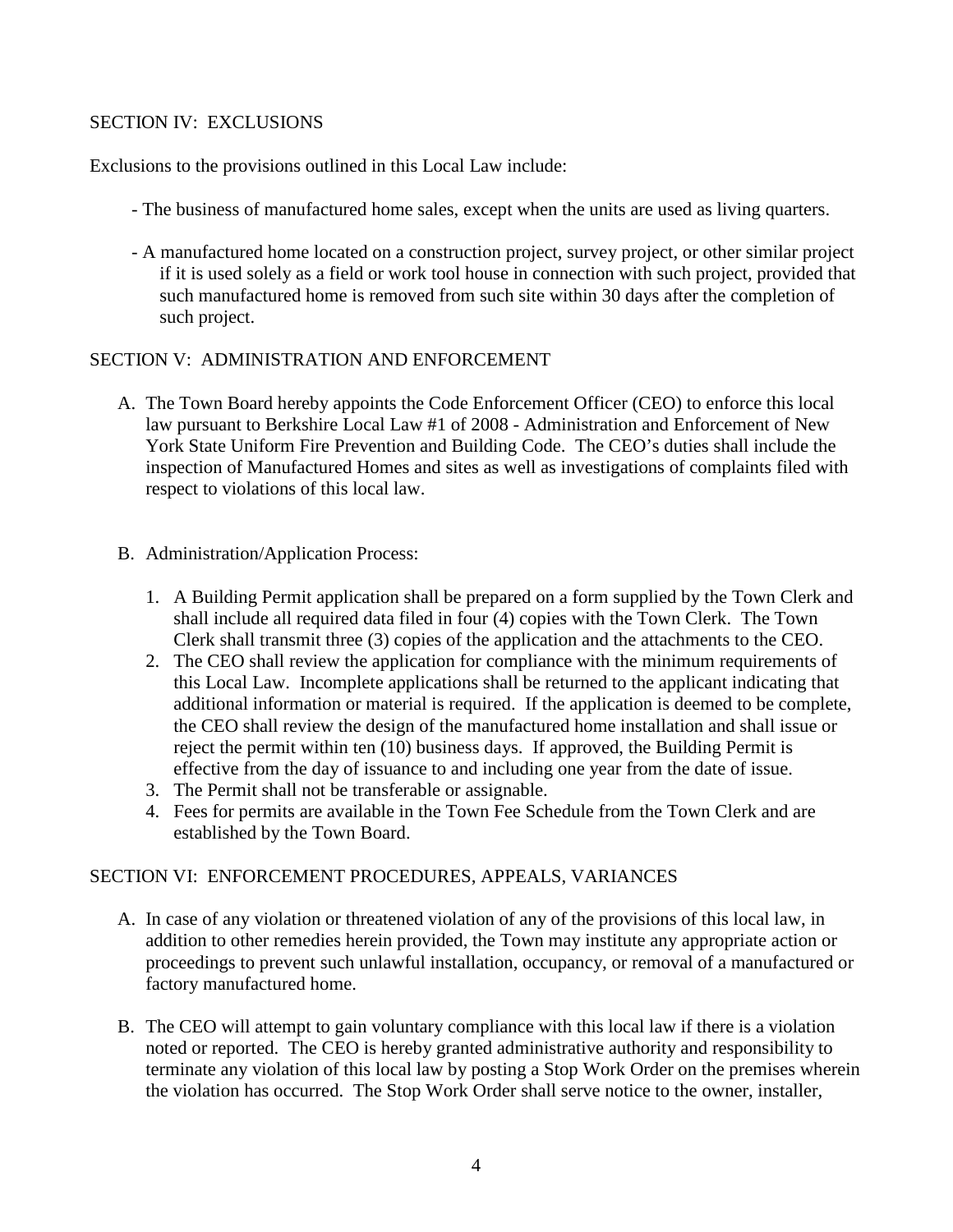#### SECTION IV: EXCLUSIONS

Exclusions to the provisions outlined in this Local Law include:

- The business of manufactured home sales, except when the units are used as living quarters.
- A manufactured home located on a construction project, survey project, or other similar project if it is used solely as a field or work tool house in connection with such project, provided that such manufactured home is removed from such site within 30 days after the completion of such project.

#### SECTION V: ADMINISTRATION AND ENFORCEMENT

- A. The Town Board hereby appoints the Code Enforcement Officer (CEO) to enforce this local law pursuant to Berkshire Local Law #1 of 2008 - Administration and Enforcement of New York State Uniform Fire Prevention and Building Code. The CEO's duties shall include the inspection of Manufactured Homes and sites as well as investigations of complaints filed with respect to violations of this local law.
- B. Administration/Application Process:
	- 1. A Building Permit application shall be prepared on a form supplied by the Town Clerk and shall include all required data filed in four (4) copies with the Town Clerk. The Town Clerk shall transmit three (3) copies of the application and the attachments to the CEO.
	- 2. The CEO shall review the application for compliance with the minimum requirements of this Local Law. Incomplete applications shall be returned to the applicant indicating that additional information or material is required. If the application is deemed to be complete, the CEO shall review the design of the manufactured home installation and shall issue or reject the permit within ten (10) business days. If approved, the Building Permit is effective from the day of issuance to and including one year from the date of issue.
	- 3. The Permit shall not be transferable or assignable.
	- 4. Fees for permits are available in the Town Fee Schedule from the Town Clerk and are established by the Town Board.

#### SECTION VI: ENFORCEMENT PROCEDURES, APPEALS, VARIANCES

- A. In case of any violation or threatened violation of any of the provisions of this local law, in addition to other remedies herein provided, the Town may institute any appropriate action or proceedings to prevent such unlawful installation, occupancy, or removal of a manufactured or factory manufactured home.
- B. The CEO will attempt to gain voluntary compliance with this local law if there is a violation noted or reported. The CEO is hereby granted administrative authority and responsibility to terminate any violation of this local law by posting a Stop Work Order on the premises wherein the violation has occurred. The Stop Work Order shall serve notice to the owner, installer,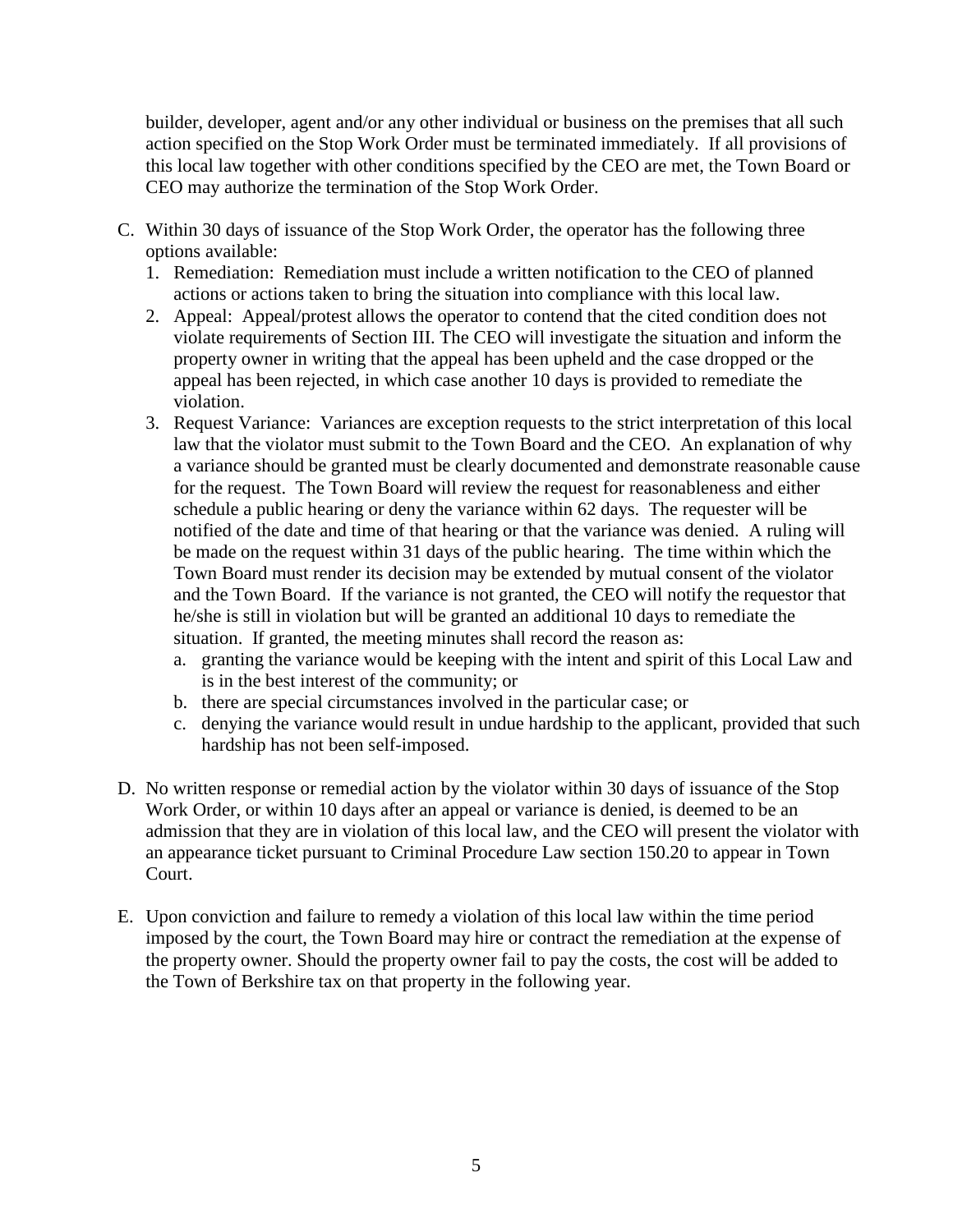builder, developer, agent and/or any other individual or business on the premises that all such action specified on the Stop Work Order must be terminated immediately. If all provisions of this local law together with other conditions specified by the CEO are met, the Town Board or CEO may authorize the termination of the Stop Work Order.

- C. Within 30 days of issuance of the Stop Work Order, the operator has the following three options available:
	- 1. Remediation: Remediation must include a written notification to the CEO of planned actions or actions taken to bring the situation into compliance with this local law.
	- 2. Appeal: Appeal/protest allows the operator to contend that the cited condition does not violate requirements of Section III. The CEO will investigate the situation and inform the property owner in writing that the appeal has been upheld and the case dropped or the appeal has been rejected, in which case another 10 days is provided to remediate the violation.
	- 3. Request Variance: Variances are exception requests to the strict interpretation of this local law that the violator must submit to the Town Board and the CEO. An explanation of why a variance should be granted must be clearly documented and demonstrate reasonable cause for the request. The Town Board will review the request for reasonableness and either schedule a public hearing or deny the variance within 62 days. The requester will be notified of the date and time of that hearing or that the variance was denied. A ruling will be made on the request within 31 days of the public hearing. The time within which the Town Board must render its decision may be extended by mutual consent of the violator and the Town Board. If the variance is not granted, the CEO will notify the requestor that he/she is still in violation but will be granted an additional 10 days to remediate the situation. If granted, the meeting minutes shall record the reason as:
		- a. granting the variance would be keeping with the intent and spirit of this Local Law and is in the best interest of the community; or
		- b. there are special circumstances involved in the particular case; or
		- c. denying the variance would result in undue hardship to the applicant, provided that such hardship has not been self-imposed.
- D. No written response or remedial action by the violator within 30 days of issuance of the Stop Work Order, or within 10 days after an appeal or variance is denied, is deemed to be an admission that they are in violation of this local law, and the CEO will present the violator with an appearance ticket pursuant to Criminal Procedure Law section 150.20 to appear in Town Court.
- E. Upon conviction and failure to remedy a violation of this local law within the time period imposed by the court, the Town Board may hire or contract the remediation at the expense of the property owner. Should the property owner fail to pay the costs, the cost will be added to the Town of Berkshire tax on that property in the following year.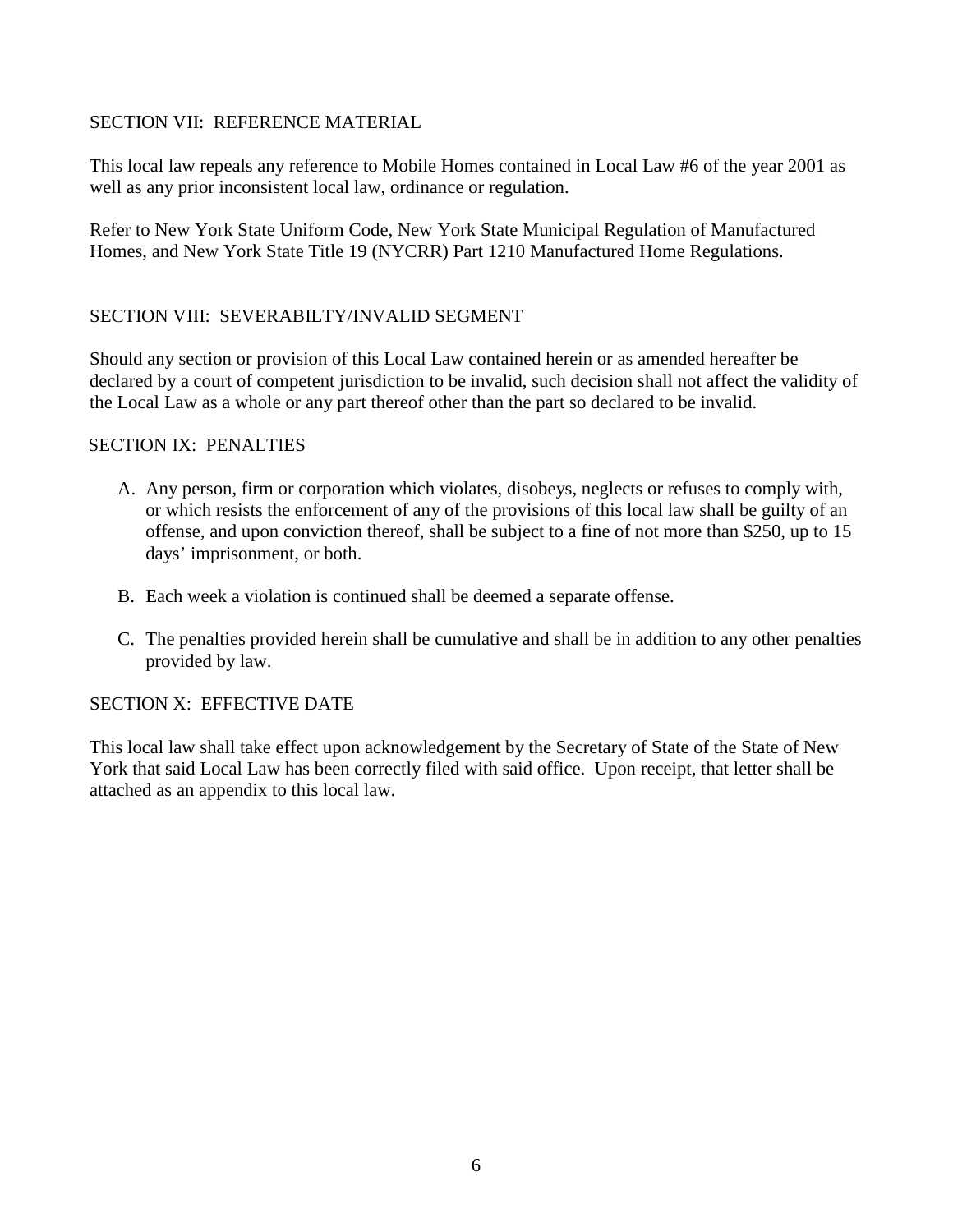#### SECTION VII: REFERENCE MATERIAL

This local law repeals any reference to Mobile Homes contained in Local Law #6 of the year 2001 as well as any prior inconsistent local law, ordinance or regulation.

Refer to New York State Uniform Code, New York State Municipal Regulation of Manufactured Homes, and New York State Title 19 (NYCRR) Part 1210 Manufactured Home Regulations.

#### SECTION VIII: SEVERABILTY/INVALID SEGMENT

Should any section or provision of this Local Law contained herein or as amended hereafter be declared by a court of competent jurisdiction to be invalid, such decision shall not affect the validity of the Local Law as a whole or any part thereof other than the part so declared to be invalid.

#### SECTION IX: PENALTIES

- A. Any person, firm or corporation which violates, disobeys, neglects or refuses to comply with, or which resists the enforcement of any of the provisions of this local law shall be guilty of an offense, and upon conviction thereof, shall be subject to a fine of not more than \$250, up to 15 days' imprisonment, or both.
- B. Each week a violation is continued shall be deemed a separate offense.
- C. The penalties provided herein shall be cumulative and shall be in addition to any other penalties provided by law.

#### SECTION X: EFFECTIVE DATE

This local law shall take effect upon acknowledgement by the Secretary of State of the State of New York that said Local Law has been correctly filed with said office. Upon receipt, that letter shall be attached as an appendix to this local law.